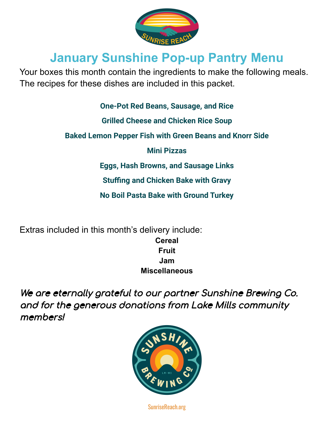

# **January Sunshine Pop-up Pantry Menu**

Your boxes this month contain the ingredients to make the following meals. The recipes for these dishes are included in this packet.

**One-Pot Red Beans, Sausage, and Rice**

**Grilled Cheese and Chicken Rice Soup**

**Baked Lemon Pepper Fish with Green Beans and Knorr Side**

**Mini Pizzas**

**Eggs, Hash Browns, and Sausage Links**

**Stuffing and Chicken Bake with Gravy**

**No Boil Pasta Bake with Ground Turkey**

Extras included in this month's delivery include: **Cereal Fruit Jam Miscellaneous**

We are eternally grateful to our partner Sunshine Brewing Co. and for the generous donations from Lake Mills community members!



SunriseReach.org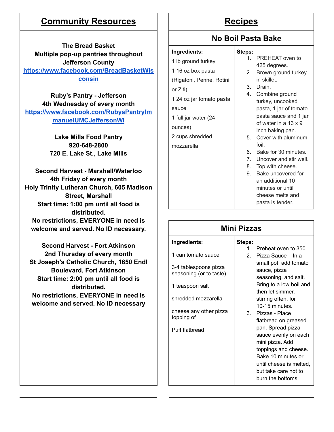# **Community Resources** | | Recipes

**The Bread Basket Multiple pop-up pantries throughout Jefferson County [https://www.facebook.com/BreadBasketWis](https://www.facebook.com/BreadBasketWisconsin) [consin](https://www.facebook.com/BreadBasketWisconsin)**

**Ruby's Pantry - Jefferson 4th Wednesday of every month [https://www.facebook.com/RubysPantryIm](https://www.facebook.com/RubysPantryImmanuelUMCJeffersonWI) [manuelUMCJeffersonWI](https://www.facebook.com/RubysPantryImmanuelUMCJeffersonWI)**

> **Lake Mills Food Pantry 920-648-2800 720 E. Lake St., Lake Mills**

**Second Harvest - Marshall/Waterloo 4th Friday of every month Holy Trinity Lutheran Church, 605 Madison Street, Marshall Start time: 1:00 pm until all food is distributed. No restrictions, EVERYONE in need is welcome and served. No ID necessary.**

**Second Harvest - Fort Atkinson 2nd Thursday of every month St Joseph's Catholic Church, 1650 Endl Boulevard, Fort Atkinson Start time: 2:00 pm until all food is distributed. No restrictions, EVERYONE in need is welcome and served. No ID necessary**

## **No Boil Pasta Bake**

### **Ingredients:**

1 lb ground turkey 1 16 oz box pasta (Rigatoni, Penne, Rotini or Ziti) 1 24 oz jar tomato pasta sauce 1 full jar water (24 ounces) 2 cups shredded mozzarella

#### **Steps:** 1. PREHEAT oven to 425 degrees.

- 2. Brown ground turkey in skillet.
- 3. Drain.
- 4. Combine ground turkey, uncooked pasta, 1 jar of tomato pasta sauce and 1 jar of water in a 13 x 9 inch baking pan.
- 5. Cover with aluminum foil.
- 6. Bake for 30 minutes.
- 7. Uncover and stir well.
- 8. Top with cheese.
- 9. Bake uncovered for an additional 10 minutes or until cheese melts and pasta is tender.

| <b>Mini Pizzas</b>                                                                        |           |                                                                                                                                                                                   |  |  |
|-------------------------------------------------------------------------------------------|-----------|-----------------------------------------------------------------------------------------------------------------------------------------------------------------------------------|--|--|
| Ingredients:                                                                              | Steps:    |                                                                                                                                                                                   |  |  |
| 1 can tomato sauce<br>3-4 tablespoons pizza<br>seasoning (or to taste)<br>1 teaspoon salt | $1 \quad$ | Preheat oven to 350<br>2. Pizza Sauce – In a<br>small pot, add tomato<br>sauce, pizza<br>seasoning, and salt.<br>Bring to a low boil and<br>then let simmer,                      |  |  |
| shredded mozzarella                                                                       |           | stirring often, for<br>10-15 minutes                                                                                                                                              |  |  |
| cheese any other pizza<br>topping of                                                      |           | 3. Pizzas - Place<br>flatbread on greased                                                                                                                                         |  |  |
| Puff flatbread                                                                            |           | pan. Spread pizza<br>sauce evenly on each<br>mini pizza. Add<br>toppings and cheese.<br>Bake 10 minutes or<br>until cheese is melted,<br>but take care not to<br>burn the bottoms |  |  |